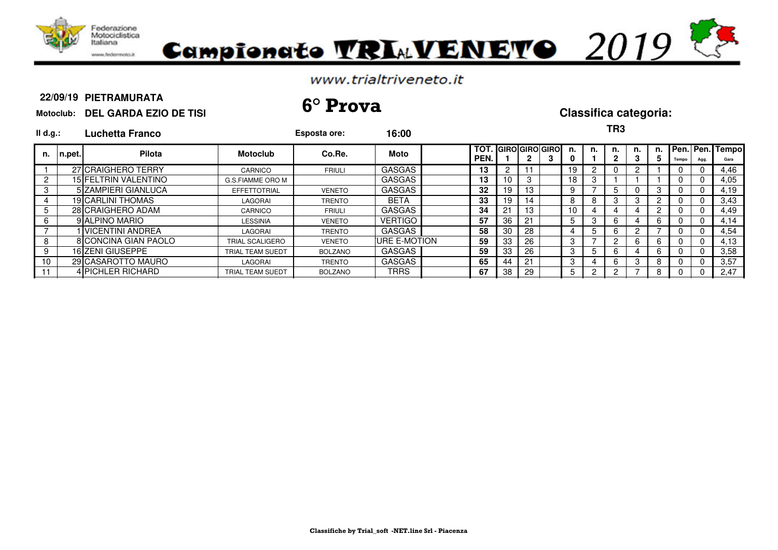



### **PIETRAMURATA**

**Motoclub: DEL GARDA EZIO DE TISI 22/09/19 6° Prova Classifica categoria:**

**TR3**

| II d.g.: |        | Luchetta Franco      |                         | Esposta ore:   | 16:00          |                                    |                |    |   |                 |    | טחו     |         |    |       |      |                            |
|----------|--------|----------------------|-------------------------|----------------|----------------|------------------------------------|----------------|----|---|-----------------|----|---------|---------|----|-------|------|----------------------------|
| n.       | n.pet. | <b>Pilota</b>        | <b>Motoclub</b>         | Co.Re.         | Moto           | <b>TOT. GIRO GIRO GIRO</b><br>PEN. |                | 2  | З | n.              | n. | n.<br>2 | n.<br>3 | 5. | Tempo | Agg. | n. Pen. Pen. Tempo<br>Gara |
|          |        | 27 CRAIGHERO TERRY   | CARNICO                 | <b>FRIULI</b>  | <b>GASGAS</b>  | 13                                 | $\overline{2}$ |    |   | 19              |    | 0       |         |    | 0     |      | 4,46                       |
|          |        | 15 FELTRIN VALENTINO | G.S.FIAMME ORO M        |                | <b>GASGAS</b>  | 13                                 | 10             |    |   | 18              |    |         |         |    | 0     | U    | 4,05                       |
| 3        |        | 5 ZAMPIERI GIANLUCA  | <b>EFFETTOTRIAL</b>     | <b>VENETO</b>  | GASGAS         | 32                                 | 19             | 13 |   |                 |    | 5       |         |    | 0     | -0   | 4,19                       |
| 4        |        | 19 CARLINI THOMAS    | LAGORAI                 | <b>TRENTO</b>  | <b>BETA</b>    | 33                                 | 19             | 14 |   |                 | 8  | 3       | 3       |    | υ     |      | 3,43                       |
| 5        |        | 28 CRAIGHERO ADAM    | CARNICO                 | <b>FRIULI</b>  | <b>GASGAS</b>  | 34                                 | 21             | 13 |   | 10 <sup>1</sup> |    |         |         |    | U     |      | 4,49                       |
| 6        |        | 9 ALPINO MARIO       | LESSINIA                | <b>VENETO</b>  | <b>VERTIGO</b> | 57                                 | 36             | 21 |   |                 | 3  | 6       |         | 6  | U     | 0    | 4.14                       |
|          |        | I IVICENTINI ANDREA  | LAGORAI                 | <b>TRENTO</b>  | <b>GASGAS</b>  | 58                                 | 30             | 28 |   |                 | 5  | 6       |         |    | U     |      | 4,54                       |
| 8        |        | 8 CONCINA GIAN PAOLO | <b>TRIAL SCALIGERO</b>  | <b>VENETO</b>  | URE E-MOTION   | 59                                 | 33             | 26 |   |                 |    | 2       | 6       | 6  | 0     | 0    | 4.13                       |
| 9        |        | 16 ZENI GIUSEPPE     | TRIAL TEAM SUEDT        | <b>BOLZANO</b> | <b>GASGAS</b>  | 59                                 | 33             | 26 |   |                 | 5  | 6       |         | 6  | 0     | 0    | 3.58                       |
| 10       |        | 29 CASAROTTO MAURO   | LAGORAI                 | <b>TRENTO</b>  | <b>GASGAS</b>  | 65                                 | 44             | 21 |   | 35              |    | 6       | 3       | 8  | 0     |      | 3,57                       |
|          |        | 4 PICHLER RICHARD    | <b>TRIAL TEAM SUEDT</b> | <b>BOLZANO</b> | <b>TRRS</b>    | 67                                 | 38             | 29 |   |                 |    | 2       |         | 8  | U     |      | 2,47                       |
|          |        |                      |                         |                |                |                                    |                |    |   |                 |    |         |         |    |       |      |                            |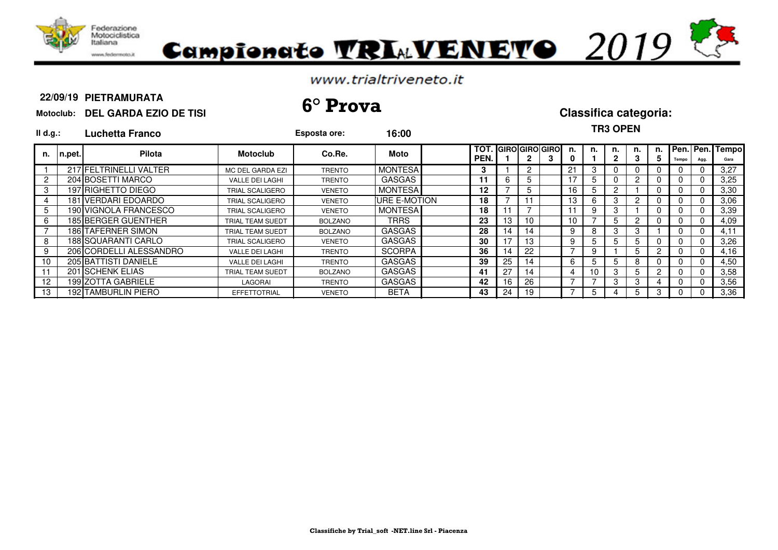

# Campionato VRIAVENEVO 2019

## www.trialtriveneto.it

### **PIETRAMURATA**

## **Motoclub: DEL GARDA EZIO DE TISI 22/09/19 6° Prova Classifica categoria:**

| II d.g.:             |         | Luchetta Franco            |                        | Esposta ore:   | 16:00                |                    |    |                |                            |                 |        | <b>TR3 OPEN</b> |         |    |       |             |                         |
|----------------------|---------|----------------------------|------------------------|----------------|----------------------|--------------------|----|----------------|----------------------------|-----------------|--------|-----------------|---------|----|-------|-------------|-------------------------|
| n.                   | In.pet. | Pilota                     | <b>Motoclub</b>        | Co.Re.         | Moto                 | <b>TOT</b><br>PEN. |    | 2              | <b>GIRO GIRO GIRO</b><br>з | n               | n.     | n.<br>2         | n.<br>3 | n. | Tempo | Agg.        | Pen. Pen. Tempo<br>Gara |
|                      |         | 217 FELTRINELLI VALTER     | MC DEL GARDA EZI       | <b>TRENTO</b>  | <b>MONTESA</b>       | 3                  |    | $\overline{2}$ |                            | 21              | 3      | 0               |         |    |       | $\Omega$    | 3.27                    |
| $\mathbf{2}^{\circ}$ |         | 204 BOSETTI MARCO          | <b>VALLE DEI LAGHI</b> | <b>TRENTO</b>  | <b>GASGAS</b>        | 11                 |    | 5.             |                            |                 | b.     | 0               |         |    |       | $\Omega$    | 3,25                    |
| 3                    |         | 197 RIGHETTO DIEGO         | TRIAL SCALIGERO        | <b>VENETO</b>  | <b>MONTESA</b>       | 12                 |    | 5              |                            | 16              | b      | 2               |         |    |       | 0           | 3,30                    |
| 4                    |         | 181 VERDARI EDOARDO        | TRIAL SCALIGERO        | <b>VENETO</b>  | <b>IURE E-MOTION</b> | 18                 |    |                |                            | 13              | ⌒<br>b | 3               | 2       |    |       | 0           | 3,06                    |
| 5                    |         | 190 VIGNOLA FRANCESCO      | TRIAL SCALIGERO        | <b>VENETO</b>  | <b>MONTESA</b>       | 18                 |    |                |                            |                 | 9      | 3               |         |    |       | $\Omega$    | 3,39                    |
| 6                    |         | 185 BERGER GUENTHER        | TRIAL TEAM SUEDT       | <b>BOLZANO</b> | <b>TRRS</b>          | 23                 | 13 | 10             |                            | 10 <sup>1</sup> |        | 5               | 2       |    |       | $\mathbf 0$ | 4,09                    |
|                      |         | 186 TAFERNER SIMON         | TRIAL TEAM SUEDT       | <b>BOLZANO</b> | <b>GASGAS</b>        | 28                 | 14 | 14             |                            | 9               | 8      | 3               | 3       |    |       | 0           | 4.11                    |
| 8                    |         | 188 SQUARANTI CARLO        | TRIAL SCALIGERO        | <b>VENETO</b>  | <b>GASGAS</b>        | 30                 | 17 | 13             |                            | 9               | 5.     | 5               | b.      |    |       | $\Omega$    | 3,26                    |
| 9                    |         | 206 CORDELLI ALESSANDRO    | VALLE DEI LAGHI        | <b>TRENTO</b>  | <b>SCORPA</b>        | 36                 | 14 | 22             |                            |                 | 9      |                 | 5       |    |       | $\Omega$    | 4.16                    |
| 10                   |         | 205 BATTISTI DANIELE       | <b>VALLE DEI LAGHI</b> | <b>TRENTO</b>  | <b>GASGAS</b>        | 39                 | 25 | 14             |                            | 6               | 5      | 5               | 8       |    |       | 0           | 4,50                    |
| 11                   |         | 201 SCHENK ELIAS           | TRIAL TEAM SUEDT       | <b>BOLZANO</b> | <b>GASGAS</b>        | 41                 | 27 | 14             |                            | 4               | 10     | 3               | 5       |    |       | $\Omega$    | 3,58                    |
| 12                   |         | 199 ZOTTA GABRIELE         | LAGORAI                | <b>TRENTO</b>  | <b>GASGAS</b>        | 42                 | 16 | 26             |                            |                 |        | 3               | 3       |    |       | $\Omega$    | 3,56                    |
| 13                   |         | <b>192 TAMBURLIN PIERO</b> | <b>EFFETTOTRIAL</b>    | <b>VENETO</b>  | <b>BETA</b>          | 43                 | 24 | 19             |                            |                 | b.     | 4               | b.      |    |       | 0           | 3,36                    |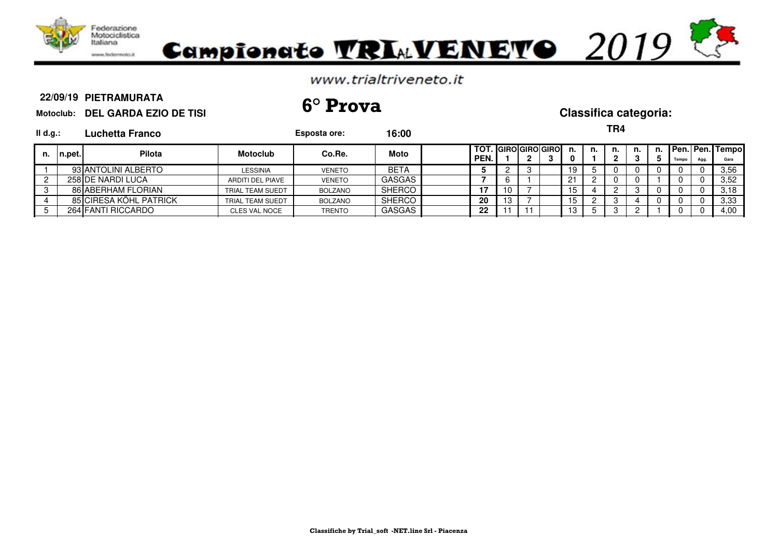

### **PIETRAMURATA**

**Motoclub: DEL GARDA EZIO DE TISI 22/09/19 6° Prova Classifica categoria:**

|--|

| II d.g.: |         | Luchetta Franco        |                      | Esposta ore:   | 16:00         |              |    |                                    |    |    | ,,,,      |    |       |      |                         |
|----------|---------|------------------------|----------------------|----------------|---------------|--------------|----|------------------------------------|----|----|-----------|----|-------|------|-------------------------|
| n.       | In.pet. | <b>Pilota</b>          | <b>Motoclub</b>      | Co.Re.         | Moto          | TOT.<br>PEN. |    | . IGIROIGIROIGIRO<br>າ<br><u>.</u> |    | n. | n.<br>- פ | n. | Tempo | Agg. | Pen. Pen. Tempo<br>Gara |
|          |         | 93 ANTOLINI ALBERTO    | LESSINIA             | <b>VENETO</b>  | BETA          |              |    |                                    |    |    | 0         |    |       |      | 3.56                    |
|          |         | 258 DE NARDI LUCA      | ARDITI DEL PIAVE     | <b>VENETO</b>  | <b>GASGAS</b> |              |    |                                    | 2٠ |    | 0         |    |       |      | 3.52                    |
|          |         | 86 ABERHAM FLORIAN     | TRIAL TEAM SUEDT     | <b>BOLZANO</b> | <b>SHERCO</b> | 17           | 10 |                                    |    |    |           |    |       |      | 3.18                    |
|          |         | 85 CIRESA KÖHL PATRICK | TRIAL TEAM SUEDT     | <b>BOLZANO</b> | SHERCO        | 20           | 13 |                                    |    |    |           |    |       |      | 3.33                    |
|          |         | 264 FANTI RICCARDO     | <b>CLES VAL NOCE</b> | <b>TRENTO</b>  | <b>GASGAS</b> | 22           |    |                                    |    |    | З         |    |       |      | 4,00                    |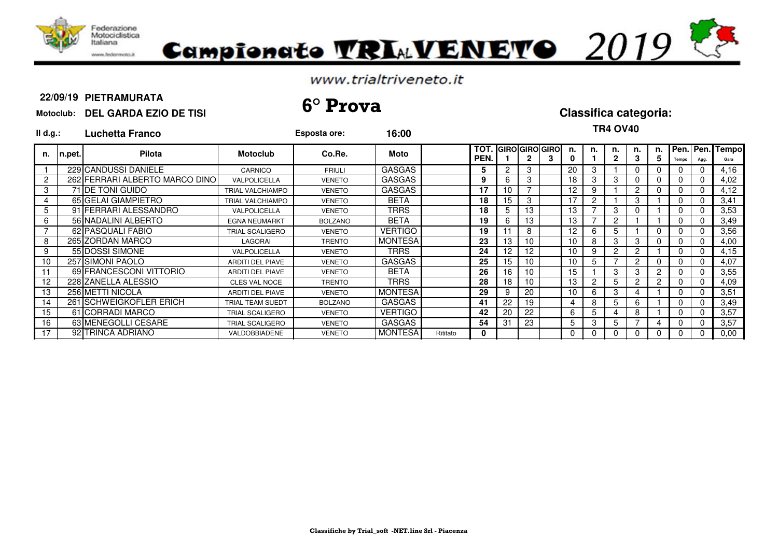

# Campionato TRIMVENETO 2019

## www.trialtriveneto.it

### **PIETRAMURATA**

## **Motoclub: DEL GARDA EZIO DE TISI 22/09/19 6° Prova Classifica categoria:**

| II d.g.:       |         | Luchetta Franco                 |                         | Esposta ore:   | 16:00          |          |             |    |    |                       |    |    | TR4 OV40 |                      |          |       |          |                         |
|----------------|---------|---------------------------------|-------------------------|----------------|----------------|----------|-------------|----|----|-----------------------|----|----|----------|----------------------|----------|-------|----------|-------------------------|
| n.             | ∣n.pet. | <b>Pilota</b>                   | <b>Motoclub</b>         | Co.Re.         | Moto           |          | TOT<br>PEN. |    |    | <b>GIRO GIRO GIRO</b> | n. | n. | n.       | n.                   | n.<br>5. | Tempo | Agg.     | Pen. Pen. Tempo<br>Gara |
|                |         | 229 CANDUSSI DANIELE            | CARNICO                 | <b>FRIULI</b>  | <b>GASGAS</b>  |          | 5           | 2  | 3  |                       | 20 | 3  |          |                      |          |       |          | 4,16                    |
| $\overline{c}$ |         | 262 FERRARI ALBERTO MARCO DINOI | VALPOLICELLA            | <b>VENETO</b>  | <b>GASGAS</b>  |          | 9           | 6  | 3  |                       | 18 | 3  | 3        |                      |          |       |          | 4,02                    |
| 3              |         | 71 IDE TONI GUIDO               | <b>TRIAL VALCHIAMPO</b> | <b>VENETO</b>  | <b>GASGAS</b>  |          | 17          | 10 |    |                       | 12 | 9  |          | 2                    |          |       |          | 4,12                    |
| 4              |         | 65 GELAI GIAMPIETRO             | <b>TRIAL VALCHIAMPO</b> | <b>VENETO</b>  | BETA           |          | 18          | 15 | 3  |                       | 17 | 2  |          |                      |          |       |          | 3,41                    |
| 5              |         | 91 FERRARI ALESSANDRO           | <b>VALPOLICELLA</b>     | <b>VENETO</b>  | TRRS           |          | 18          | 5  | 13 |                       | 13 |    | 3        |                      |          |       |          | 3,53                    |
| 6              |         | 56 NADALINI ALBERTO             | <b>EGNA NEUMARKT</b>    | <b>BOLZANO</b> | <b>BETA</b>    |          | 19          | 6  | 13 |                       | 13 |    | 2        |                      |          |       |          | 3,49                    |
|                |         | 62 PASQUALI FABIO               | TRIAL SCALIGERO         | <b>VENETO</b>  | <b>VERTIGO</b> |          | 19          |    | 8  |                       | 12 | 6  | 5        |                      |          |       |          | 3,56                    |
| 8              |         | 265 ZORDAN MARCO                | LAGORAI                 | <b>TRENTO</b>  | <b>MONTESA</b> |          | 23          | 13 | 10 |                       | 10 | 8  | 3        | 3                    |          |       |          | 4,00                    |
| 9              |         | 55 DOSSI SIMONE                 | VALPOLICELLA            | <b>VENETO</b>  | TRRS           |          | 24          | 12 | 12 |                       | 10 | 9  | 2        |                      |          |       |          | 4,15                    |
| 10             |         | 257 SIMONI PAOLO                | <b>ARDITI DEL PIAVE</b> | <b>VENETO</b>  | <b>GASGAS</b>  |          | 25          | 15 | 10 |                       | 10 | 5  |          | $\mathbf{2}^{\circ}$ |          |       | $\Omega$ | 4,07                    |
|                |         | 69 FRANCESCONI VITTORIO         | <b>ARDITI DEL PIAVE</b> | <b>VENETO</b>  | <b>BETA</b>    |          | 26          | 16 | 10 |                       | 15 |    | 3        |                      |          |       |          | 3,55                    |
| 12             |         | 228 ZANELLA ALESSIO             | <b>CLES VAL NOCE</b>    | TRENTO         | <b>TRRS</b>    |          | 28          | 18 | 10 |                       | 13 | 2  | 5        |                      |          |       |          | 4,09                    |
| 13             |         | 256 METTI NICOLA                | <b>ARDITI DEL PIAVE</b> | <b>VENETO</b>  | <b>MONTESA</b> |          | 29          | 9  | 20 |                       | 10 | 6  | 3        |                      |          |       |          | 3,51                    |
| 14             |         | 261 SCHWEIGKOFLER ERICH         | TRIAL TEAM SUEDT        | <b>BOLZANO</b> | <b>GASGAS</b>  |          | 41          | 22 | 19 |                       |    | 8  | 5        |                      |          |       |          | 3.49                    |
| 15             |         | 61 CORRADI MARCO                | TRIAL SCALIGERO         | <b>VENETO</b>  | <b>VERTIGO</b> |          | 42          | 20 | 22 |                       | 6  | 5  | 4        | 8                    |          |       |          | 3,57                    |
| 16             |         | 63 MENEGOLLI CESARE             | TRIAL SCALIGERO         | <b>VENETO</b>  | <b>GASGAS</b>  |          | 54          | 31 | 23 |                       | 5  | 3  | 5        |                      |          |       |          | 3,57                    |
| 17             |         | 92 TRINCA ADRIANO               | VALDOBBIADENE           | <b>VENETO</b>  | <b>MONTESA</b> | Rititato | 0           |    |    |                       |    | 0  | 0        |                      |          |       |          | 0,00                    |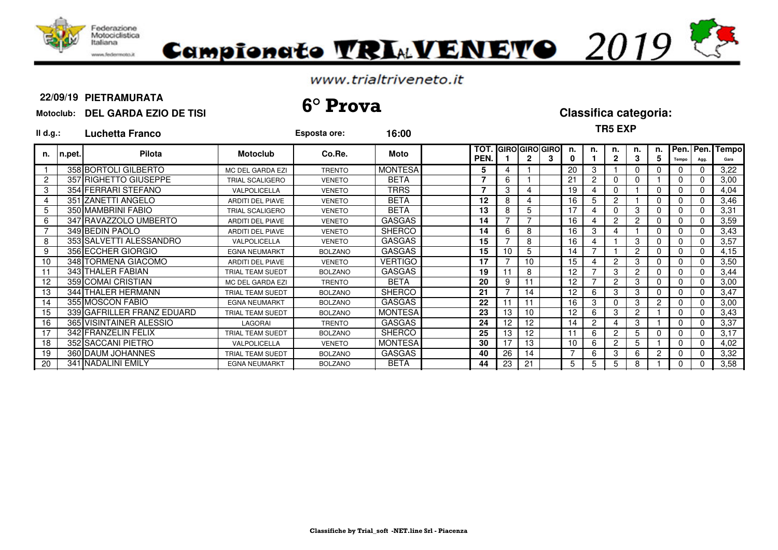

## Campionato TRIAVENETO 2019

## www.trialtriveneto.it

### **PIETRAMURATA**

## **Motoclub: DEL GARDA EZIO DE TISI 22/09/19 6° Prova Classifica categoria:**

**Il d.g.: Luchetta Franco Esposta ore: 16:00**

**TR5 EXP**

| n.              | n.pet. | <b>Pilota</b>              | <b>Motoclub</b>         | Co.Re.         | Moto           | TOT.<br>PEN. |    |                | 2  | <b>GIROIGIROIGIRO</b><br>3 | n.                | n. | n.             | n.            | n. I<br>5 | Tempo | Pen. Pen.<br>Agg | Tempo<br>Gara |
|-----------------|--------|----------------------------|-------------------------|----------------|----------------|--------------|----|----------------|----|----------------------------|-------------------|----|----------------|---------------|-----------|-------|------------------|---------------|
|                 |        | 358 BORTOLI GILBERTO       | MC DEL GARDA EZI        | <b>TRENTO</b>  | <b>MONTESA</b> |              | 5  |                |    |                            | 20                | 3  |                |               |           | 0     |                  | 3,22          |
| $\overline{2}$  |        | 357 RIGHETTO GIUSEPPE      | TRIAL SCALIGERO         | <b>VENETO</b>  | <b>BETA</b>    |              | 7  | 6              |    |                            | 21                | 2  |                |               |           | 0     |                  | 3,00          |
| 3               |        | 354 FERRARI STEFANO        | VALPOLICELLA            | <b>VENETO</b>  | TRRS           |              | 7  | 3              | 4  |                            | 19                |    | $\Omega$       |               |           | 0     |                  | 4,04          |
| 4               |        | 351 ZANETTI ANGELO         | ARDITI DEL PIAVE        | <b>VENETO</b>  | <b>BETA</b>    |              | 12 | 8              | 4  |                            | 16                | 5  | $\overline{2}$ |               |           | 0     |                  | 3,46          |
| 5               |        | 350 MAMBRINI FABIO         | <b>TRIAL SCALIGERO</b>  | <b>VENETO</b>  | <b>BETA</b>    |              | 13 | $\Omega$       | 5  |                            | 17                | 4  |                | 3             |           | 0     |                  | 3,31          |
| 6               |        | 347 RAVAZZOLO UMBERTO      | ARDITI DEL PIAVE        | <b>VENETO</b>  | <b>GASGAS</b>  |              | 14 |                |    |                            | 16                |    | 2              | 2             |           | 0     |                  | 3,59          |
|                 |        | 349 BEDIN PAOLO            | <b>ARDITI DEL PIAVE</b> | <b>VENETO</b>  | <b>SHERCO</b>  |              | 14 |                | 8  |                            | 16                | 3  |                |               |           | 0     |                  | 3,43          |
| 8               |        | 353 SALVETTI ALESSANDRO    | VALPOLICELLA            | <b>VENETO</b>  | <b>GASGAS</b>  |              | 15 |                | 8  |                            | 16                |    |                | 3             |           | 0     |                  | 3,57          |
| 9               |        | 356 ECCHER GIORGIO         | <b>EGNA NEUMARKT</b>    | <b>BOLZANO</b> | <b>GASGAS</b>  |              | 15 | 10             | 5  |                            | 14                |    |                | $\mathcal{P}$ |           | 0     |                  | 4,15          |
| 10 <sup>1</sup> |        | 348 TORMENA GIACOMO        | <b>ARDITI DEL PIAVE</b> | <b>VENETO</b>  | <b>VERTIGO</b> |              | 17 |                | 10 |                            | 15                |    | 2              |               |           | 0     |                  | 3,50          |
| 11              |        | 343 THALER FABIAN          | TRIAL TEAM SUEDT        | <b>BOLZANO</b> | <b>GASGAS</b>  |              | 19 |                | 8  |                            | $12 \overline{ }$ |    | 3              |               |           | 0     |                  | 3,44          |
| 12              |        | 359 COMAI CRISTIAN         | MC DEL GARDA EZI        | <b>TRENTO</b>  | <b>BETA</b>    |              | 20 | 9              | 11 |                            | 12                |    | 2              | 3             |           | 0     |                  | 3,00          |
| 13              |        | 344 THALER HERMANN         | TRIAL TEAM SUEDT        | <b>BOLZANO</b> | <b>SHERCO</b>  |              | 21 |                | 14 |                            | $12 \overline{ }$ | 6  | 3              | З             |           | 0     |                  | 3,47          |
| 14              |        | 355 MOSCON FABIO           | <b>EGNA NEUMARKT</b>    | <b>BOLZANO</b> | <b>GASGAS</b>  |              | 22 |                |    |                            | 16                | 3  |                |               | 2         | 0     |                  | 3,00          |
| 15              |        | 339 GAFRILLER FRANZ EDUARD | TRIAL TEAM SUEDT        | <b>BOLZANO</b> | <b>MONTESA</b> |              | 23 | 13             | 10 |                            | $12 \overline{ }$ | 6  | 3              | 2             |           | 0     |                  | 3,43          |
| 16              |        | 365 VISINTAINER ALESSIO    | LAGORAI                 | <b>TRENTO</b>  | <b>GASGAS</b>  |              | 24 | 12             | 12 |                            | 14                | 2  |                | З             |           | 0     |                  | 3,37          |
| 17              |        | 342 FRANZELIN FELIX        | TRIAL TEAM SUEDT        | <b>BOLZANO</b> | <b>SHERCO</b>  |              | 25 | 13             | 12 |                            | 11                | 6  | 2              |               |           | 0     |                  | 3,17          |
| 18              |        | 352 SACCANI PIETRO         | VALPOLICELLA            | <b>VENETO</b>  | <b>MONTESA</b> |              | 30 | $\overline{7}$ | 13 |                            | 10                | 6  | 2              | 5             |           | 0     |                  | 4,02          |
| 19              |        | 360 DAUM JOHANNES          | TRIAL TEAM SUEDT        | <b>BOLZANO</b> | <b>GASGAS</b>  |              | 40 | 26             | 14 |                            |                   | 6  | 3              | 6             |           | 0     |                  | 3,32          |
| 20              |        | 341 INADALINI EMILY        | <b>EGNA NEUMARKT</b>    | <b>BOLZANO</b> | BETA           |              | 44 | 23             | 21 |                            | 5                 | 5  | 5              |               |           | 0     |                  | 3,58          |
|                 |        |                            |                         |                |                |              |    |                |    |                            |                   |    |                |               |           |       |                  |               |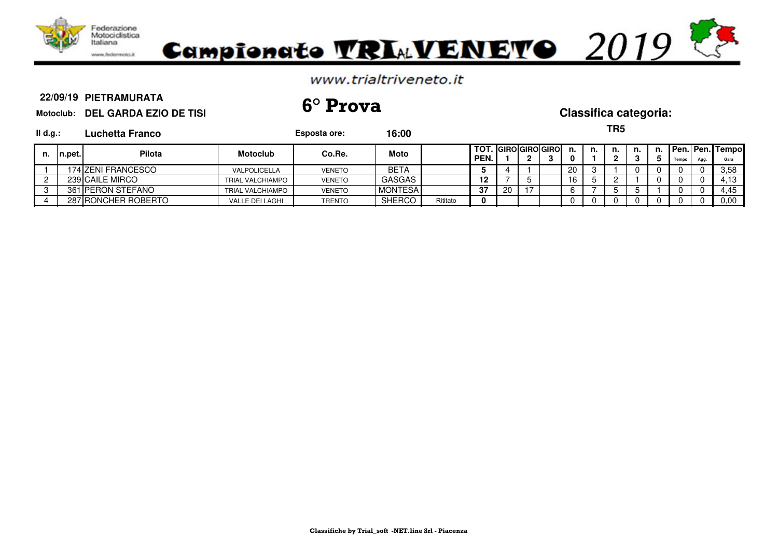

### **PIETRAMURATA**

**Motoclub: DEL GARDA EZIO DE TISI 22/09/19 6° Prova Classifica categoria:**

**TR5**

| II d.g.: |         | Luchetta Franco     |                         | Esposta ore:  | 16:00          |          |              |     |                    |     |    | כא ו |    |    |       |      |                                |
|----------|---------|---------------------|-------------------------|---------------|----------------|----------|--------------|-----|--------------------|-----|----|------|----|----|-------|------|--------------------------------|
| n.       | In.pet. | Pilota              | <b>Motoclub</b>         | Co.Re.        | Moto           |          | TOT.<br>PEN. |     | . IGIROIGIROIGIROI | n.  | n. | n.   | n. | n. | Tempo | Agg. | <b>Pen. Pen. Tempo</b><br>Gara |
|          |         | 174 ZENI FRANCESCO  | VALPOLICELLA            | <b>VENETO</b> | <b>BETA</b>    |          |              |     |                    | 20  |    |      |    |    |       |      | 3.58                           |
|          |         | 239 CAILE MIRCO     | <b>TRIAL VALCHIAMPO</b> | <b>VENETO</b> | <b>GASGAS</b>  |          | 12           |     |                    | 16. |    |      |    |    |       |      | 4.13                           |
|          |         | 361 PERON STEFANO   | <b>TRIAL VALCHIAMPO</b> | <b>VENETO</b> | <b>MONTESA</b> |          | 37           | -20 |                    |     |    |      |    |    |       |      | 4,45                           |
|          |         | 287 RONCHER ROBERTO | VALLE DEI LAGHI         | <b>TRENTO</b> | <b>SHERCO</b>  | Rititato |              |     |                    |     |    |      |    |    |       |      | 0.00                           |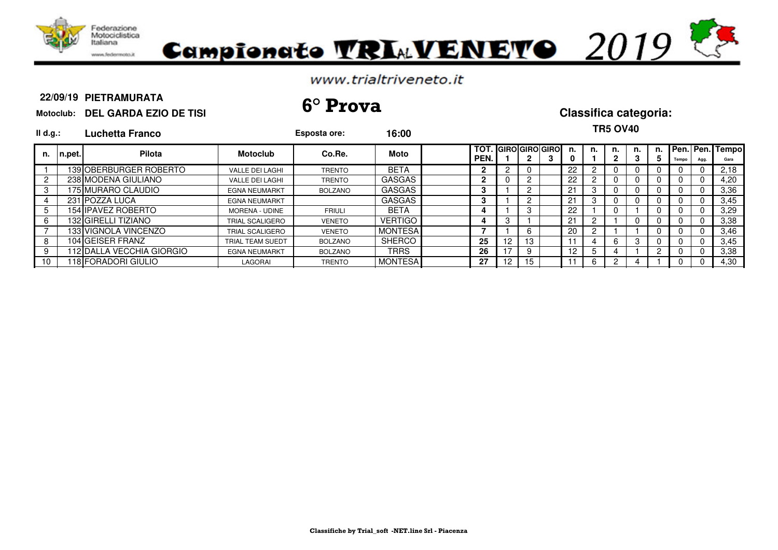

## Campionate **TRIAVENETO** 2019

## www.trialtriveneto.it

### **PIETRAMURATA**

**Motoclub: DEL GARDA EZIO DE TISI 22/09/19 6° Prova Classifica categoria:**

**TR5 OV40**

|                     |                                                                                                                                                                                                                                                          | Esposta ore:   |                |       |                                  |     |    |    |         |                              |    |                |                  |              |      |                    |
|---------------------|----------------------------------------------------------------------------------------------------------------------------------------------------------------------------------------------------------------------------------------------------------|----------------|----------------|-------|----------------------------------|-----|----|----|---------|------------------------------|----|----------------|------------------|--------------|------|--------------------|
| Pilota              | <b>Motoclub</b>                                                                                                                                                                                                                                          | Co.Re.         | Moto           |       | PEN.                             |     | 2. | J. | n.<br>0 | n.                           | n. | n.<br><b>ن</b> | Ð.               | <b>Tempo</b> | Agg. | Gara               |
|                     | <b>VALLE DEI LAGHI</b>                                                                                                                                                                                                                                   | <b>TRENTO</b>  | <b>BETA</b>    |       | 2                                |     | O  |    | 22      |                              |    |                |                  |              |      | 2.18               |
|                     | <b>VALLE DEI LAGHI</b>                                                                                                                                                                                                                                   | <b>TRENTO</b>  | <b>GASGAS</b>  |       | 2                                |     | 2  |    | 22      |                              |    |                |                  |              |      | 4,20               |
|                     | <b>EGNA NEUMARKT</b>                                                                                                                                                                                                                                     | <b>BOLZANO</b> | <b>GASGAS</b>  |       | з                                |     | 2  |    | 21      | 3                            |    |                |                  |              |      | 3,36               |
|                     | <b>EGNA NEUMARKT</b>                                                                                                                                                                                                                                     |                | GASGAS         |       | 3                                |     | 2  |    | 21      | 3                            |    |                |                  |              |      | 3,45               |
|                     | <b>MORENA - UDINE</b>                                                                                                                                                                                                                                    | <b>FRIULI</b>  | <b>BETA</b>    |       |                                  |     | 3  |    | 22      |                              |    |                |                  |              |      | 3,29               |
|                     | TRIAL SCALIGERO                                                                                                                                                                                                                                          | <b>VENETO</b>  | <b>VERTIGO</b> |       | 4                                |     |    |    | 21      |                              |    |                |                  |              |      | 3,38               |
|                     | <b>TRIAL SCALIGERO</b>                                                                                                                                                                                                                                   | <b>VENETO</b>  |                |       |                                  |     | 6  |    | 20      | 2                            |    |                |                  |              |      | 3,46               |
|                     | TRIAL TEAM SUEDT                                                                                                                                                                                                                                         | <b>BOLZANO</b> | <b>SHERCO</b>  |       | 25                               | 12  | 13 |    |         |                              |    |                |                  |              |      | 3.45               |
|                     | <b>EGNA NEUMARKT</b>                                                                                                                                                                                                                                     | <b>BOLZANO</b> | TRRS           |       | 26                               |     | 9  |    | $12$ .  | 5                            |    |                |                  |              |      | 3.38               |
|                     | LAGORAI                                                                                                                                                                                                                                                  | <b>TRENTO</b>  |                |       | 27                               | 12. | 15 |    |         | 6.                           |    |                |                  |              |      | 4,30               |
| II d.g.:<br>In.pet. | Luchetta Franco<br>139 OBERBURGER ROBERTO<br>238 MODENA GIULIANO<br>175 MURARO CLAUDIO<br>231 POZZA LUCA<br>154 IIPAVEZ ROBERTO<br>132 GIRELLI TIZIANO<br>133 IVIGNOLA VINCENZO<br>104 GEISER FRANZ<br>112 IDALLA VECCHIA GIORGIO<br>118 FORADORI GIULIO |                |                | 16:00 | <b>MONTESA</b><br><b>MONTESA</b> |     |    |    |         | <b>TOT. IGIROIGIROIGIROI</b> |    |                | . <del>.</del> . |              |      | n. Pen. Pen. Tempo |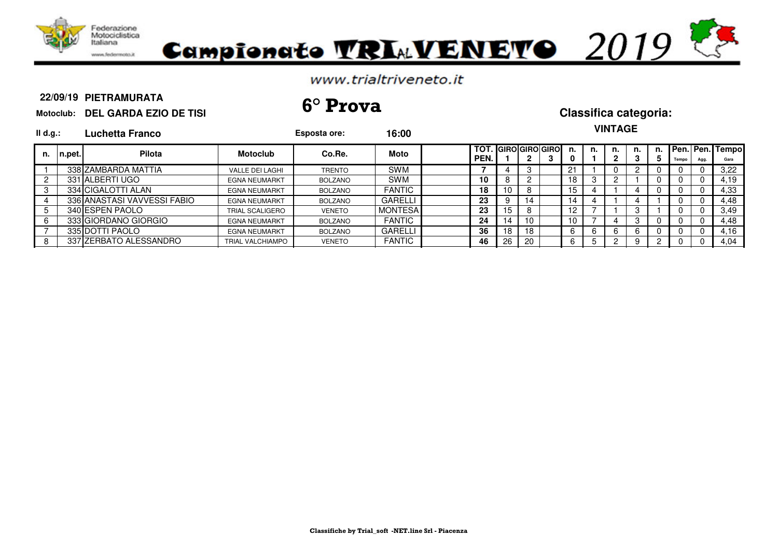

# Campionato VRIAVENEVO 2019

## www.trialtriveneto.it

### **PIETRAMURATA**

**Motoclub: DEL GARDA EZIO DE TISI 22/09/19 6° Prova Classifica categoria:**

## **VINTAGE**

| II d.g.: |         | Luchetta Franco             |                        | Esposta ore:   | 16:00          |      |    |              |                              |     |    | VINTAGE |    |   |       |      |                            |
|----------|---------|-----------------------------|------------------------|----------------|----------------|------|----|--------------|------------------------------|-----|----|---------|----|---|-------|------|----------------------------|
| n.       | ∣n.pet. | <b>Pilota</b>               | <b>Motoclub</b>        | Co.Re.         | Moto           | PEN. |    | $\mathbf{2}$ | <b>TOT. IGIROIGIROIGIROI</b> | n.  | n. | n.<br>2 | n. | 5 | Tempo | Agg. | n. Pen. Pen. Tempo<br>Gara |
|          |         | 338 ZAMBARDA MATTIA         | VALLE DEI LAGHI        | <b>TRENTO</b>  | <b>SWM</b>     |      |    |              |                              | -91 |    |         |    |   |       |      | 3,22                       |
|          |         | 331 ALBERTI UGO             | <b>EGNA NEUMARKT</b>   | BOLZANO        | <b>SWM</b>     | 10   |    |              |                              | 18  | 3  |         |    |   |       |      | 4,19                       |
|          |         | 334 ICIGALOTTI ALAN         | <b>EGNA NEUMARKT</b>   | BOLZANO        | <b>FANTIC</b>  | 18   | 10 |              |                              | 15  |    |         |    |   |       |      | 4,33                       |
|          |         | 336 ANASTASI VAVVESSI FABIO | <b>EGNA NEUMARKT</b>   | BOLZANO        | GARELLI        | 23   | 9  | 14           |                              | 14  |    |         |    |   |       |      | 4.48                       |
|          |         | 340 ESPEN PAOLO             | <b>TRIAL SCALIGERO</b> | <b>VENETO</b>  | <b>MONTESA</b> | 23   | 15 |              |                              | 12. |    |         |    |   |       |      | 3,49                       |
|          |         | 333 GIORDANO GIORGIO        | <b>EGNA NEUMARKT</b>   | <b>BOLZANO</b> | <b>FANTIC</b>  | 24   | 14 | 10           |                              | 10  |    |         | 3  |   |       |      | 4,48                       |
|          |         | 335 IDOTTI PAOLO            | <b>EGNA NEUMARKT</b>   | BOLZANO        | GARELLI        | 36   | 18 | 18           |                              | 6.  | 6  |         | 6  |   |       |      | 4,16                       |
|          |         | 337 ZERBATO ALESSANDRO      | TRIAL VALCHIAMPO       | <b>VENETO</b>  | <b>FANTIC</b>  | 46   | 26 | 20           |                              |     |    |         | 9  |   |       |      | 4,04                       |
|          |         |                             |                        |                |                |      |    |              |                              |     |    |         |    |   |       |      |                            |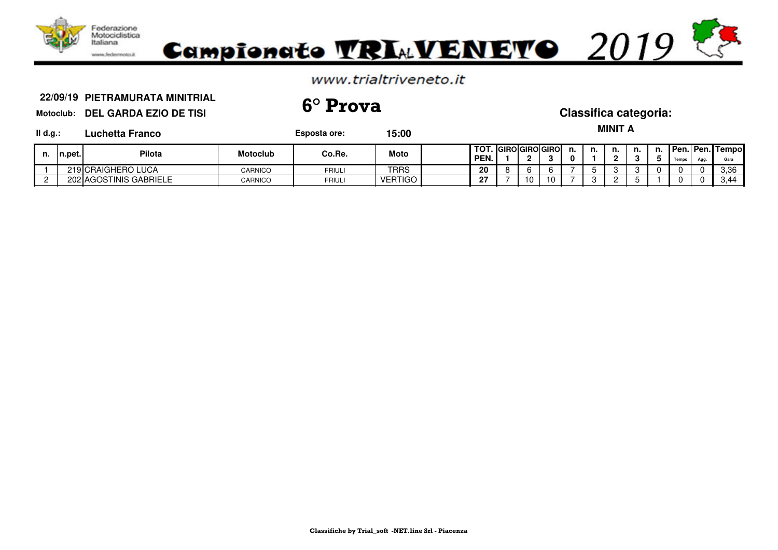

**PIETRAMURATA MINITRIAL Motoclub: DEL GARDA EZIO DE TISI 22/09/19 6° Prova Classifica categoria:**

| $II$ d.g.: |         | Luchetta Franco        |                 | Esposta ore: | 15:00          |                                       |    |    |                |    | <b>MINIT A</b> |    |    |       |      |                                 |
|------------|---------|------------------------|-----------------|--------------|----------------|---------------------------------------|----|----|----------------|----|----------------|----|----|-------|------|---------------------------------|
| n.         | In.pet. | <b>Pilota</b>          | <b>Motoclub</b> | Co.Re.       | Moto           | I TOT. IGIROIGIROIGIROI<br><b>PEN</b> |    |    | n.<br>$\bf{0}$ | n. | n.<br>n        | n. | п. | Tempo | Agg. | <b>Pen. Pen. Tempol</b><br>Gara |
|            |         | 219 CRAIGHERO LUCA     | CARNICO         | FRIULI       | TRRS           | 20                                    |    |    |                |    |                |    |    |       | 0    | 3.36                            |
|            |         | 202 AGOSTINIS GABRIELE | CARNICO         | FRIULI       | <b>VERTIGO</b> | 27                                    | 10 | 10 |                |    |                |    |    |       |      | 3,44                            |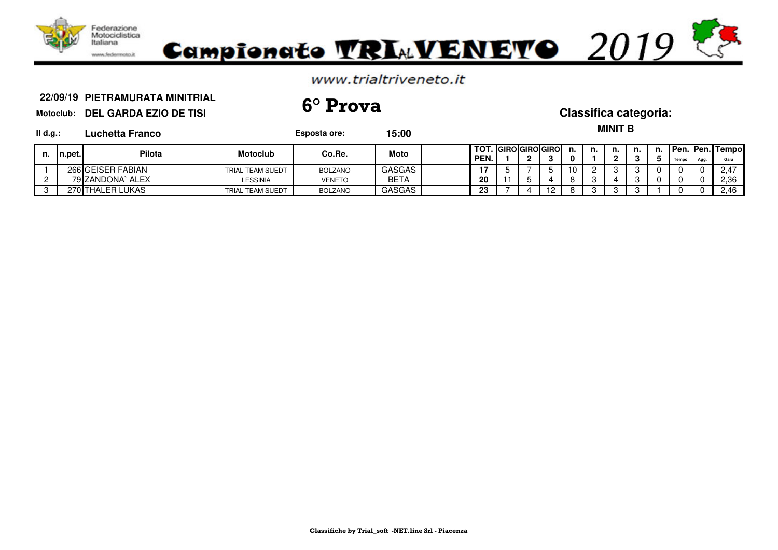

**PIETRAMURATA MINITRIAL Motoclub: DEL GARDA EZIO DE TISI 22/09/19 6° Prova Classifica categoria:**

 $M = M$ 

| $II$ d.g.: |            | Luchetta Franco   |                  | Esposta ore:   | 15:00  |                               |  |    |    | MINII B |    |    |       |      |                     |
|------------|------------|-------------------|------------------|----------------|--------|-------------------------------|--|----|----|---------|----|----|-------|------|---------------------|
| n.         | $In.$ pet. | <b>Pilota</b>     | <b>Motoclub</b>  | Co.Re.         | Moto   | TOT. IGIROIGIROIGIROI<br>PEN. |  | n. | n. | n.      | n. | п. | Tempo | Agg. | Pen.   Pen.   Tempo |
|            |            | 266 GEISER FABIAN | TRIAL TEAM SUEDT | BOLZANO        | GASGAS |                               |  | 10 |    |         |    |    |       |      | 2.47                |
|            |            | 79 ZANDONA` ALEX  | LESSINIA         | <b>VENETO</b>  | BETA   | 20                            |  | o  |    |         |    |    |       |      | 2,36                |
|            |            | 270 THALER LUKAS  | TRIAL TEAM SUEDT | <b>BOLZANO</b> | GASGAS | 23                            |  | o  |    |         |    |    |       |      | 2.46                |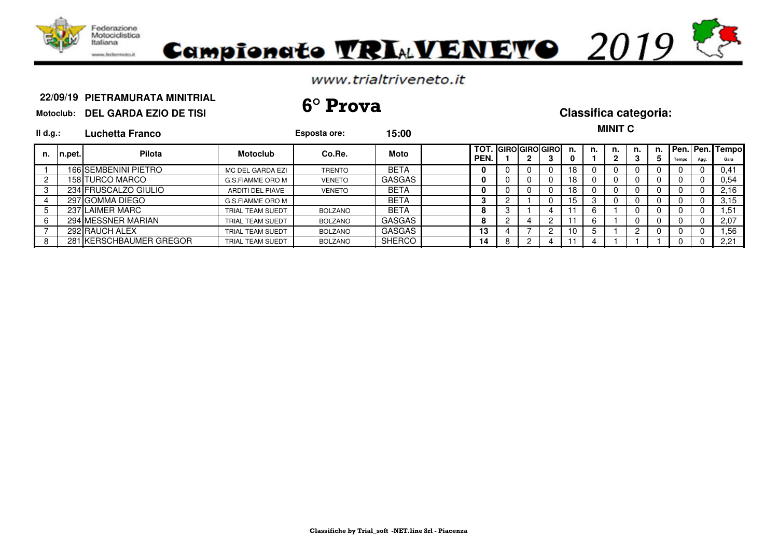

# Campionato TRIMVENETO 2019

## www.trialtriveneto.it

## **PIETRAMURATA MINITRIAL Motoclub: DEL GARDA EZIO DE TISI 22/09/19 6° Prova Classifica categoria:**

| $II$ d.g.:     |             | Luchetta Franco         |                         | Esposta ore:   | 15:00         |                                      |   |  |         |    | <b>MINIT C</b> |    |          |          |      |                         |
|----------------|-------------|-------------------------|-------------------------|----------------|---------------|--------------------------------------|---|--|---------|----|----------------|----|----------|----------|------|-------------------------|
|                | n. In.pet.l | <b>Pilota</b>           | <b>Motoclub</b>         | Co.Re.         | <b>Moto</b>   | <b>TOT. IGIROIGIROIGIROI</b><br>PEN. |   |  | n.<br>0 | n. | n.             | n. | n.<br>5  | Tempo    | Agg. | Pen. Pen. Tempo<br>Gara |
|                |             | 166 SEMBENINI PIETRO    | MC DEL GARDA EZI        | <b>TRENTO</b>  | <b>BETA</b>   | 0                                    |   |  | 18      |    |                |    |          |          |      | 0,41                    |
| $\overline{2}$ |             | 158 TURCO MARCO         | G.S.FIAMME ORO M        | <b>VENETO</b>  | <b>GASGAS</b> | 0                                    |   |  | 18      |    |                |    |          |          |      | 0,54                    |
| 3              |             | 234 FRUSCALZO GIULIO    | <b>ARDITI DEL PIAVE</b> | <b>VENETO</b>  | <b>BETA</b>   | 0                                    |   |  | 18      |    |                |    | 0        |          |      | 2,16                    |
|                |             | 297 GOMMA DIEGO         | G.S.FIAMME ORO M        |                | <b>BETA</b>   | З                                    |   |  | 15      | -3 |                |    | 0        |          |      | 3,15                    |
| 5              |             | 237 LAIMER MARC         | TRIAL TEAM SUEDT        | BOLZANO        | <b>BETA</b>   | 8                                    | 3 |  |         |    |                |    | 0        | 0        | 0    | 51. ا                   |
| 6              |             | 294 MESSNER MARIAN      | TRIAL TEAM SUEDT        | <b>BOLZANO</b> | <b>GASGAS</b> | 8                                    |   |  |         |    |                |    | 0        | 0        |      | 2,07                    |
|                |             | 292 RAUCH ALEX          | TRIAL TEAM SUEDT        | <b>BOLZANO</b> | <b>GASGAS</b> | 13                                   |   |  | 10      |    |                |    | $\Omega$ | $\Omega$ | 0    | .56                     |
| 8              |             | 281 KERSCHBAUMER GREGOR | TRIAL TEAM SUEDT        | <b>BOLZANO</b> | <b>SHERCO</b> | 14                                   | 8 |  |         |    |                |    |          |          |      | 2,21                    |

### **Classifiche by Trial\_soft -NET.line Srl - Piacenza**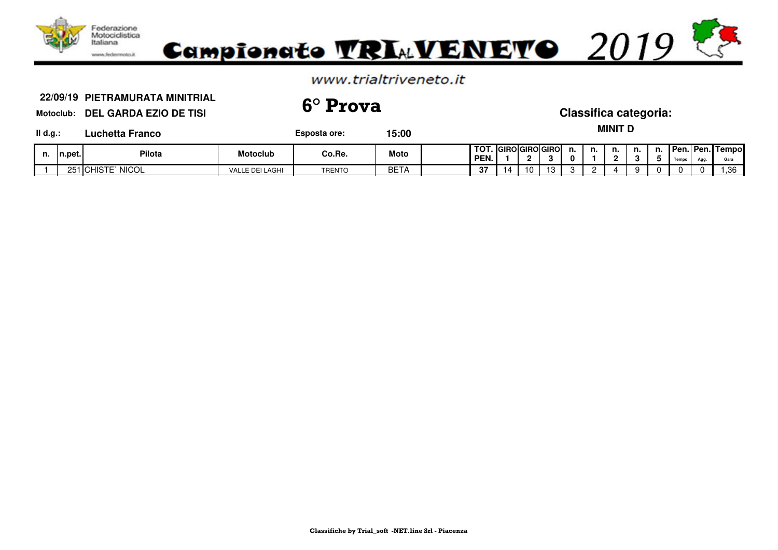

**PIETRAMURATA MINITRIAL Motoclub: DEL GARDA EZIO DE TISI 22/09/19 6° Prova Classifica categoria:**

**Il Esposta ore: 15:00** 

**MINIT D**

| <b>Luchetta Franco</b><br>II d.g.: |  |
|------------------------------------|--|
|------------------------------------|--|

| п. | n.pet.            | Pilota                               | Motoclub             | Co.Re.        | <b>Moto</b> | ί τοτ<br>PEN. |    |    | . IGIROIGIROIGIROI | п.<br>0 | n. | <br> | . | <b>UPen.</b><br><b>Taun</b> | $\mathbf{A}$ | <b>I Pen. Tempol</b><br>Gara |
|----|-------------------|--------------------------------------|----------------------|---------------|-------------|---------------|----|----|--------------------|---------|----|------|---|-----------------------------|--------------|------------------------------|
|    | $\sim$ $-$<br>251 | <b>NICOL</b><br><b>HIST</b><br>' ICi | LE DEI LAGHI<br>VALL | <b>TRENTO</b> | <b>BETA</b> | $\sim$<br>O I | IΔ | 10 |                    | . .     |    |      |   |                             | $\sqrt{ }$   | .36                          |